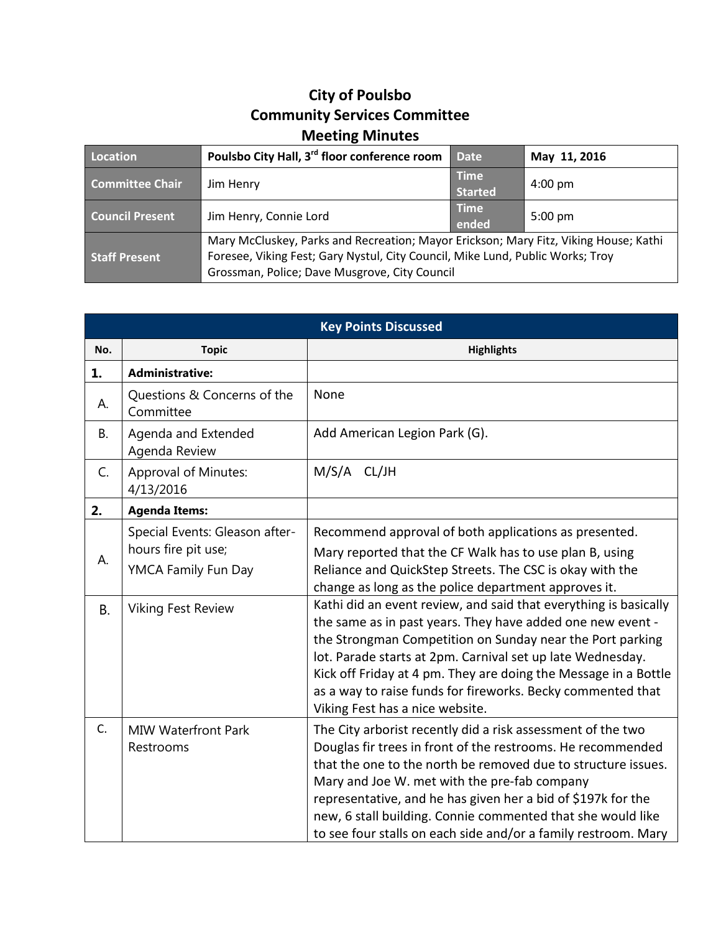## **City of Poulsbo Community Services Committee Meeting Minutes**

| Location               | Poulsbo City Hall, 3 <sup>rd</sup> floor conference room                                                                                                                                                                | <b>Date</b>            | May 11, 2016      |
|------------------------|-------------------------------------------------------------------------------------------------------------------------------------------------------------------------------------------------------------------------|------------------------|-------------------|
| <b>Committee Chair</b> | Jim Henry                                                                                                                                                                                                               | <b>Time</b><br>Started | $4:00 \text{ pm}$ |
| <b>Council Present</b> | Jim Henry, Connie Lord                                                                                                                                                                                                  | <b>Time</b><br>ended   | $5:00 \text{ pm}$ |
| <b>Staff Present</b>   | Mary McCluskey, Parks and Recreation; Mayor Erickson; Mary Fitz, Viking House; Kathi<br>Foresee, Viking Fest; Gary Nystul, City Council, Mike Lund, Public Works; Troy<br>Grossman, Police; Dave Musgrove, City Council |                        |                   |

| <b>Key Points Discussed</b> |                                                                                                           |                                                                                                                                                                                                                                                                                                                                                                                                                                              |  |  |
|-----------------------------|-----------------------------------------------------------------------------------------------------------|----------------------------------------------------------------------------------------------------------------------------------------------------------------------------------------------------------------------------------------------------------------------------------------------------------------------------------------------------------------------------------------------------------------------------------------------|--|--|
| No.                         | <b>Topic</b>                                                                                              | <b>Highlights</b>                                                                                                                                                                                                                                                                                                                                                                                                                            |  |  |
| 1.                          | <b>Administrative:</b>                                                                                    |                                                                                                                                                                                                                                                                                                                                                                                                                                              |  |  |
| А.                          | Questions & Concerns of the<br>Committee                                                                  | None                                                                                                                                                                                                                                                                                                                                                                                                                                         |  |  |
| <b>B.</b>                   | Agenda and Extended<br>Agenda Review                                                                      | Add American Legion Park (G).                                                                                                                                                                                                                                                                                                                                                                                                                |  |  |
| C.                          | <b>Approval of Minutes:</b><br>4/13/2016                                                                  | M/S/A CL/JH                                                                                                                                                                                                                                                                                                                                                                                                                                  |  |  |
| 2.                          | <b>Agenda Items:</b>                                                                                      |                                                                                                                                                                                                                                                                                                                                                                                                                                              |  |  |
| А.<br><b>B.</b>             | Special Events: Gleason after-<br>hours fire pit use;<br>YMCA Family Fun Day<br><b>Viking Fest Review</b> | Recommend approval of both applications as presented.<br>Mary reported that the CF Walk has to use plan B, using<br>Reliance and QuickStep Streets. The CSC is okay with the<br>change as long as the police department approves it.<br>Kathi did an event review, and said that everything is basically<br>the same as in past years. They have added one new event -                                                                       |  |  |
|                             |                                                                                                           | the Strongman Competition on Sunday near the Port parking<br>lot. Parade starts at 2pm. Carnival set up late Wednesday.<br>Kick off Friday at 4 pm. They are doing the Message in a Bottle<br>as a way to raise funds for fireworks. Becky commented that<br>Viking Fest has a nice website.                                                                                                                                                 |  |  |
| C.                          | <b>MIW Waterfront Park</b><br>Restrooms                                                                   | The City arborist recently did a risk assessment of the two<br>Douglas fir trees in front of the restrooms. He recommended<br>that the one to the north be removed due to structure issues.<br>Mary and Joe W. met with the pre-fab company<br>representative, and he has given her a bid of \$197k for the<br>new, 6 stall building. Connie commented that she would like<br>to see four stalls on each side and/or a family restroom. Mary |  |  |